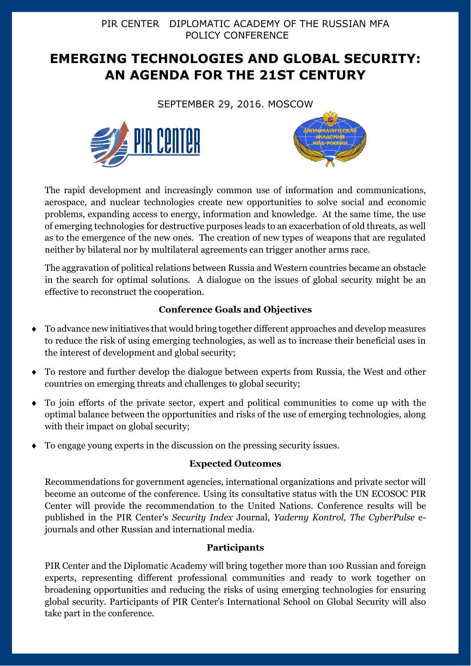PIR CENTER DIPLOMATIC ACADEMY OF THE RUSSIAN MFA POLICY CONFERENCE

# **EMERGING TECHNOLOGIES AND GLOBAL SECURITY: AN AGENDA FOR THE 21ST CENTURY**

SEPTEMBER 29, 2016. MOSCOW





The rapid development and increasingly common use of information and communications, aerospace, and nuclear technologies create new opportunities to solve social and economic problems, expanding access to energy, information and knowledge. At the same time, the use of emerging technologies for destructive purposes leads to an exacerbation of old threats, as well as to the emergence of the new ones. The creation of new types of weapons that are regulated neither by bilateral nor by multilateral agreements can trigger another arms race.

The aggravation of political relations between Russia and Western countries became an obstacle in the search for optimal solutions. A dialogue on the issues of global security might be an effective to reconstruct the cooperation.

## **Conference Goals and Objectives**

- To advance new initiatives that would bring together different approaches and develop measures to reduce the risk of using emerging technologies, as well as to increase their beneficial uses in the interest of development and global security;
- To restore and further develop the dialogue between experts from Russia, the West and other countries on emerging threats and challenges to global security;
- To join efforts of the private sector, expert and political communities to come up with the optimal balance between the opportunities and risks of the use of emerging technologies, along with their impact on global security;
- To engage young experts in the discussion on the pressing security issues.

## **Expected Outcomes**

Recommendations for government agencies, international organizations and private sector will become an outcome of the conference. Using its consultative status with the UN ECOSOC PIR Center will provide the recommendation to the United Nations. Conference results will be published in the PIR Center's *Security Index* Journal, *Yaderny Kontrol, The CyberPulse* ejournals and other Russian and international media.

## **Participants**

PIR Center and the Diplomatic Academy will bring together more than 100 Russian and foreign experts, representing different professional communities and ready to work together on broadening opportunities and reducing the risks of using emerging technologies for ensuring global security. Participants of PIR Center's International School on Global Security will also take part in the conference.